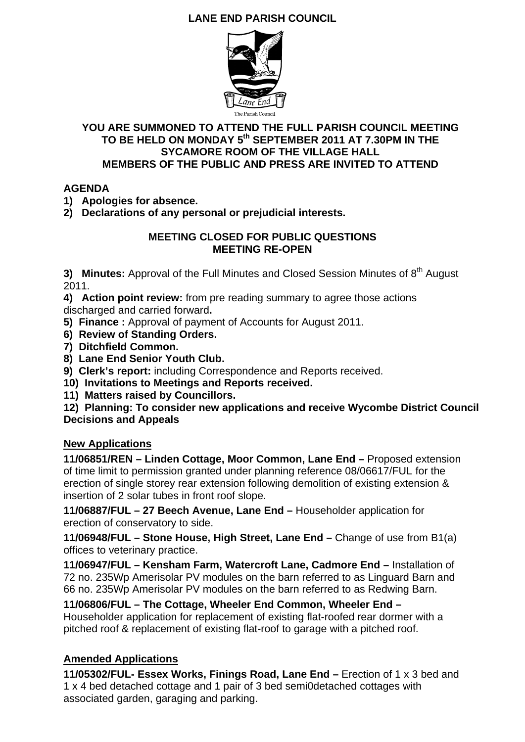## **LANE END PARISH COUNCIL**



#### **YOU ARE SUMMONED TO ATTEND THE FULL PARISH COUNCIL MEETING TO BE HELD ON MONDAY 5th SEPTEMBER 2011 AT 7.30PM IN THE SYCAMORE ROOM OF THE VILLAGE HALL MEMBERS OF THE PUBLIC AND PRESS ARE INVITED TO ATTEND**

### **AGENDA**

**1) Apologies for absence.** 

**2) Declarations of any personal or prejudicial interests.** 

#### **MEETING CLOSED FOR PUBLIC QUESTIONS MEETING RE-OPEN**

**3) Minutes:** Approval of the Full Minutes and Closed Session Minutes of 8<sup>th</sup> August 2011.

**4) Action point review:** from pre reading summary to agree those actions discharged and carried forward**.** 

**5) Finance :** Approval of payment of Accounts for August 2011.

- **6) Review of Standing Orders.**
- **7) Ditchfield Common.**
- **8) Lane End Senior Youth Club.**
- **9) Clerk's report:** including Correspondence and Reports received.
- **10) Invitations to Meetings and Reports received.**
- **11) Matters raised by Councillors.**

**12) Planning: To consider new applications and receive Wycombe District Council Decisions and Appeals** 

### **New Applications**

**11/06851/REN – Linden Cottage, Moor Common, Lane End –** Proposed extension of time limit to permission granted under planning reference 08/06617/FUL for the erection of single storey rear extension following demolition of existing extension & insertion of 2 solar tubes in front roof slope.

**11/06887/FUL – 27 Beech Avenue, Lane End –** Householder application for erection of conservatory to side.

**11/06948/FUL – Stone House, High Street, Lane End –** Change of use from B1(a) offices to veterinary practice.

**11/06947/FUL – Kensham Farm, Watercroft Lane, Cadmore End –** Installation of 72 no. 235Wp Amerisolar PV modules on the barn referred to as Linguard Barn and 66 no. 235Wp Amerisolar PV modules on the barn referred to as Redwing Barn.

**11/06806/FUL – The Cottage, Wheeler End Common, Wheeler End –** Householder application for replacement of existing flat-roofed rear dormer with a pitched roof & replacement of existing flat-roof to garage with a pitched roof.

### **Amended Applications**

**11/05302/FUL- Essex Works, Finings Road, Lane End –** Erection of 1 x 3 bed and 1 x 4 bed detached cottage and 1 pair of 3 bed semi0detached cottages with associated garden, garaging and parking.